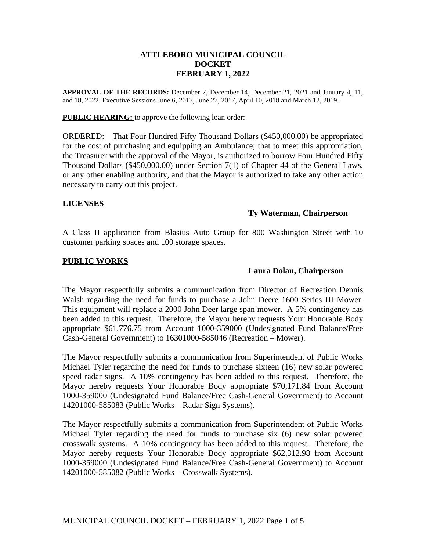## **ATTLEBORO MUNICIPAL COUNCIL DOCKET FEBRUARY 1, 2022**

**APPROVAL OF THE RECORDS:** December 7, December 14, December 21, 2021 and January 4, 11, and 18, 2022. Executive Sessions June 6, 2017, June 27, 2017, April 10, 2018 and March 12, 2019.

**PUBLIC HEARING:** to approve the following loan order:

ORDERED: That Four Hundred Fifty Thousand Dollars (\$450,000.00) be appropriated for the cost of purchasing and equipping an Ambulance; that to meet this appropriation, the Treasurer with the approval of the Mayor, is authorized to borrow Four Hundred Fifty Thousand Dollars (\$450,000.00) under Section 7(1) of Chapter 44 of the General Laws, or any other enabling authority, and that the Mayor is authorized to take any other action necessary to carry out this project.

## **LICENSES**

## **Ty Waterman, Chairperson**

A Class II application from Blasius Auto Group for 800 Washington Street with 10 customer parking spaces and 100 storage spaces.

## **PUBLIC WORKS**

## **Laura Dolan, Chairperson**

The Mayor respectfully submits a communication from Director of Recreation Dennis Walsh regarding the need for funds to purchase a John Deere 1600 Series III Mower. This equipment will replace a 2000 John Deer large span mower. A 5% contingency has been added to this request. Therefore, the Mayor hereby requests Your Honorable Body appropriate \$61,776.75 from Account 1000-359000 (Undesignated Fund Balance/Free Cash-General Government) to 16301000-585046 (Recreation – Mower).

The Mayor respectfully submits a communication from Superintendent of Public Works Michael Tyler regarding the need for funds to purchase sixteen (16) new solar powered speed radar signs. A 10% contingency has been added to this request. Therefore, the Mayor hereby requests Your Honorable Body appropriate \$70,171.84 from Account 1000-359000 (Undesignated Fund Balance/Free Cash-General Government) to Account 14201000-585083 (Public Works – Radar Sign Systems).

The Mayor respectfully submits a communication from Superintendent of Public Works Michael Tyler regarding the need for funds to purchase six (6) new solar powered crosswalk systems. A 10% contingency has been added to this request. Therefore, the Mayor hereby requests Your Honorable Body appropriate \$62,312.98 from Account 1000-359000 (Undesignated Fund Balance/Free Cash-General Government) to Account 14201000-585082 (Public Works – Crosswalk Systems).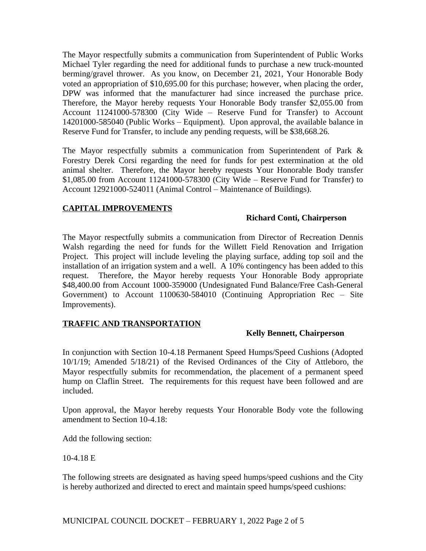The Mayor respectfully submits a communication from Superintendent of Public Works Michael Tyler regarding the need for additional funds to purchase a new truck-mounted berming/gravel thrower. As you know, on December 21, 2021, Your Honorable Body voted an appropriation of \$10,695.00 for this purchase; however, when placing the order, DPW was informed that the manufacturer had since increased the purchase price. Therefore, the Mayor hereby requests Your Honorable Body transfer \$2,055.00 from Account 11241000-578300 (City Wide – Reserve Fund for Transfer) to Account 14201000-585040 (Public Works – Equipment). Upon approval, the available balance in Reserve Fund for Transfer, to include any pending requests, will be \$38,668.26.

The Mayor respectfully submits a communication from Superintendent of Park & Forestry Derek Corsi regarding the need for funds for pest extermination at the old animal shelter. Therefore, the Mayor hereby requests Your Honorable Body transfer \$1,085.00 from Account 11241000-578300 (City Wide – Reserve Fund for Transfer) to Account 12921000-524011 (Animal Control – Maintenance of Buildings).

# **CAPITAL IMPROVEMENTS**

## **Richard Conti, Chairperson**

The Mayor respectfully submits a communication from Director of Recreation Dennis Walsh regarding the need for funds for the Willett Field Renovation and Irrigation Project. This project will include leveling the playing surface, adding top soil and the installation of an irrigation system and a well. A 10% contingency has been added to this request. Therefore, the Mayor hereby requests Your Honorable Body appropriate \$48,400.00 from Account 1000-359000 (Undesignated Fund Balance/Free Cash-General Government) to Account 1100630-584010 (Continuing Appropriation Rec – Site Improvements).

## **TRAFFIC AND TRANSPORTATION**

## **Kelly Bennett, Chairperson**

In conjunction with Section 10-4.18 Permanent Speed Humps/Speed Cushions (Adopted 10/1/19; Amended 5/18/21) of the Revised Ordinances of the City of Attleboro, the Mayor respectfully submits for recommendation, the placement of a permanent speed hump on Claflin Street. The requirements for this request have been followed and are included.

Upon approval, the Mayor hereby requests Your Honorable Body vote the following amendment to Section 10-4.18:

Add the following section:

## 10-4.18 E

The following streets are designated as having speed humps/speed cushions and the City is hereby authorized and directed to erect and maintain speed humps/speed cushions: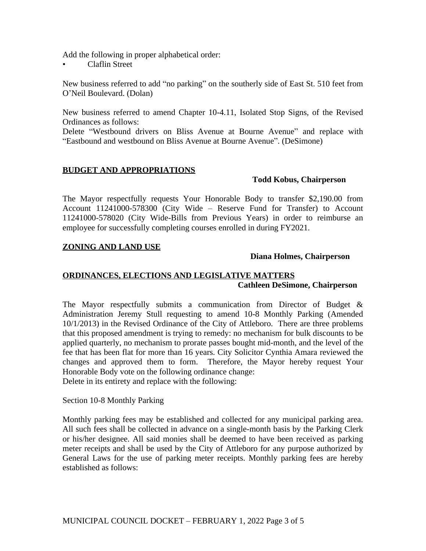Add the following in proper alphabetical order:

• Claflin Street

New business referred to add "no parking" on the southerly side of East St. 510 feet from O'Neil Boulevard. (Dolan)

New business referred to amend Chapter 10-4.11, Isolated Stop Signs, of the Revised Ordinances as follows:

Delete "Westbound drivers on Bliss Avenue at Bourne Avenue" and replace with "Eastbound and westbound on Bliss Avenue at Bourne Avenue". (DeSimone)

## **BUDGET AND APPROPRIATIONS**

## **Todd Kobus, Chairperson**

The Mayor respectfully requests Your Honorable Body to transfer \$2,190.00 from Account 11241000-578300 (City Wide – Reserve Fund for Transfer) to Account 11241000-578020 (City Wide-Bills from Previous Years) in order to reimburse an employee for successfully completing courses enrolled in during FY2021.

## **ZONING AND LAND USE**

## **Diana Holmes, Chairperson**

# **ORDINANCES, ELECTIONS AND LEGISLATIVE MATTERS Cathleen DeSimone, Chairperson**

The Mayor respectfully submits a communication from Director of Budget & Administration Jeremy Stull requesting to amend 10-8 Monthly Parking (Amended 10/1/2013) in the Revised Ordinance of the City of Attleboro. There are three problems that this proposed amendment is trying to remedy: no mechanism for bulk discounts to be applied quarterly, no mechanism to prorate passes bought mid-month, and the level of the fee that has been flat for more than 16 years. City Solicitor Cynthia Amara reviewed the changes and approved them to form. Therefore, the Mayor hereby request Your Honorable Body vote on the following ordinance change:

Delete in its entirety and replace with the following:

Section 10-8 Monthly Parking

Monthly parking fees may be established and collected for any municipal parking area. All such fees shall be collected in advance on a single-month basis by the Parking Clerk or his/her designee. All said monies shall be deemed to have been received as parking meter receipts and shall be used by the City of Attleboro for any purpose authorized by General Laws for the use of parking meter receipts. Monthly parking fees are hereby established as follows: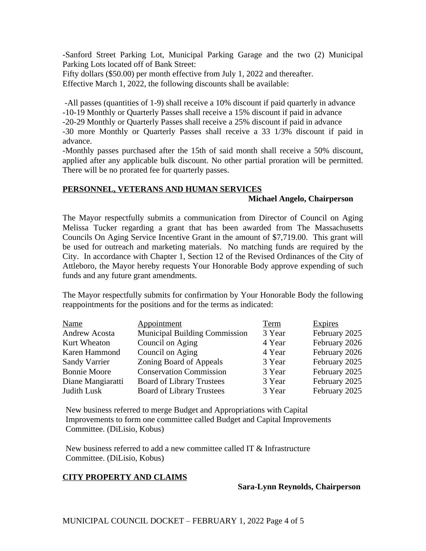-Sanford Street Parking Lot, Municipal Parking Garage and the two (2) Municipal Parking Lots located off of Bank Street:

Fifty dollars (\$50.00) per month effective from July 1, 2022 and thereafter. Effective March 1, 2022, the following discounts shall be available:

 -All passes (quantities of 1-9) shall receive a 10% discount if paid quarterly in advance -10-19 Monthly or Quarterly Passes shall receive a 15% discount if paid in advance -20-29 Monthly or Quarterly Passes shall receive a 25% discount if paid in advance -30 more Monthly or Quarterly Passes shall receive a 33 1/3% discount if paid in advance.

-Monthly passes purchased after the 15th of said month shall receive a 50% discount, applied after any applicable bulk discount. No other partial proration will be permitted. There will be no prorated fee for quarterly passes.

## **PERSONNEL, VETERANS AND HUMAN SERVICES**

## **Michael Angelo, Chairperson**

The Mayor respectfully submits a communication from Director of Council on Aging Melissa Tucker regarding a grant that has been awarded from The Massachusetts Councils On Aging Service Incentive Grant in the amount of \$7,719.00. This grant will be used for outreach and marketing materials. No matching funds are required by the City. In accordance with Chapter 1, Section 12 of the Revised Ordinances of the City of Attleboro, the Mayor hereby requests Your Honorable Body approve expending of such funds and any future grant amendments.

The Mayor respectfully submits for confirmation by Your Honorable Body the following reappointments for the positions and for the terms as indicated:

| Name                 | Appointment                          | Term   | <b>Expires</b> |
|----------------------|--------------------------------------|--------|----------------|
| Andrew Acosta        | <b>Municipal Building Commission</b> | 3 Year | February 2025  |
| Kurt Wheaton         | Council on Aging                     | 4 Year | February 2026  |
| Karen Hammond        | Council on Aging                     | 4 Year | February 2026  |
| <b>Sandy Varrier</b> | Zoning Board of Appeals              | 3 Year | February 2025  |
| <b>Bonnie Moore</b>  | <b>Conservation Commission</b>       | 3 Year | February 2025  |
| Diane Mangiaratti    | <b>Board of Library Trustees</b>     | 3 Year | February 2025  |
| Judith Lusk          | <b>Board of Library Trustees</b>     | 3 Year | February 2025  |

New business referred to merge Budget and Appropriations with Capital Improvements to form one committee called Budget and Capital Improvements Committee. (DiLisio, Kobus)

New business referred to add a new committee called IT & Infrastructure Committee. (DiLisio, Kobus)

# **CITY PROPERTY AND CLAIMS**

## **Sara-Lynn Reynolds, Chairperson**